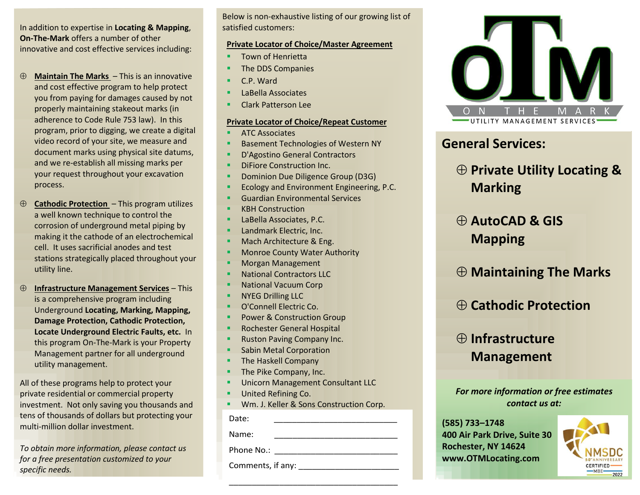In addition to expertise in **Locating & Mapping**, **On-The-Mark** offers a number of other innovative and cost effective services including:

- **Maintain The Marks** This is an innovative and cost effective program to help protect you from paying for damages caused by not properly maintaining stakeout marks (in adherence to Code Rule 753 law). In this program, prior to digging, we create a digital video record of your site, we measure and document marks using physical site datums, and we re-establish all missing marks per your request throughout your excavation process.
- **Cathodic Protection**  This program utilizes a well known technique to control the corrosion of underground metal piping by making it the cathode of an electrochemical cell. It uses sacrificial anodes and test stations strategically placed throughout your utility line.
- **Infrastructure Management Services** This is a comprehensive program including Underground **Locating, Marking, Mapping, Damage Protection, Cathodic Protection, Locate Underground Electric Faults, etc.** In this program On-The-Mark is your Property Management partner for all underground utility management.

All of these programs help to protect your private residential or commercial property investment. Not only saving you thousands and tens of thousands of dollars but protecting your multi-million dollar investment.

*To obtain more information, please contact us for a free presentation customized to your specific needs.*

Below is non-exhaustive listing of our growing list of satisfied customers:

#### **Private Locator of Choice/Master Agreement**

- Town of Henrietta
- The DDS Companies
- C.P. Ward
- LaBella Associates
- **Clark Patterson Lee**

### **Private Locator of Choice/Repeat Customer**

- **ATC Associates**
- **Basement Technologies of Western NY**
- D'Agostino General Contractors
- **DiFiore Construction Inc.**
- **Dominion Due Diligence Group (D3G)**
- Ecology and Environment Engineering, P.C.
- Guardian Environmental Services
- **KBH Construction**
- LaBella Associates, P.C.
- Landmark Electric, Inc.
- Mach Architecture & Eng.
- **Monroe County Water Authority**
- Morgan Management
- National Contractors LLC
- **National Vacuum Corp**
- NYEG Drilling LLC
- O'Connell Electric Co.
- Power & Construction Group
- Rochester General Hospital
- Ruston Paving Company Inc.
- Sabin Metal Corporation
- **The Haskell Company**
- The Pike Company, Inc.
- Unicorn Management Consultant LLC
- United Refining Co.
- **· Wm. J. Keller & Sons Construction Corp.**

Date: \_\_\_\_\_\_\_\_\_\_\_\_\_\_\_\_\_\_\_\_\_\_\_\_\_\_\_

Name:

Phone No.: \_\_\_\_\_\_\_\_\_\_\_\_\_\_\_\_\_\_\_\_\_\_\_\_\_\_\_

Comments, if any: \_\_\_\_\_\_\_\_\_\_\_\_\_\_\_\_\_\_\_\_\_\_



## **General Services:**

# **Private Utility Locating & Marking**

# **AutoCAD & GIS Mapping**

# **Maintaining The Marks**

## **Cathodic Protection**

# **Infrastructure Management**

*For more information or free estimates contact us at:*

**(585) 733–1748 400 Air Park Drive, Suite 30 Rochester, NY 14624 www.OTMLocating.com**